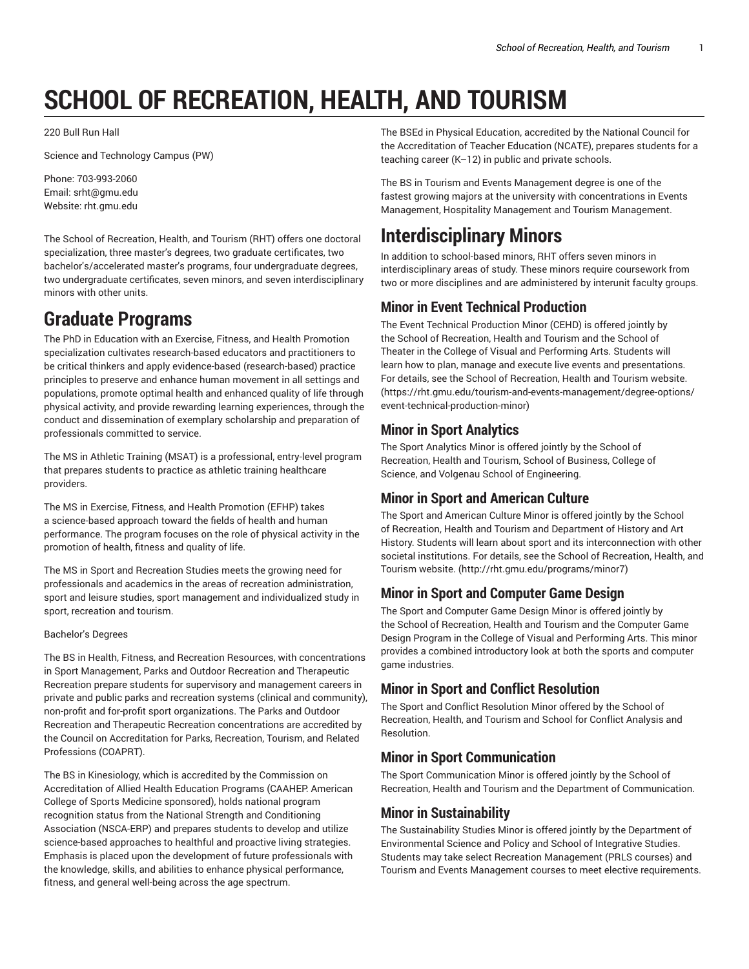# **SCHOOL OF RECREATION, HEALTH, AND TOURISM**

220 Bull Run Hall

Science and Technology Campus (PW)

Phone: 703-993-2060 Email: srht@gmu.edu Website: rht.gmu.edu

The School of Recreation, Health, and Tourism (RHT) offers one doctoral specialization, three master's degrees, two graduate certificates, two bachelor's/accelerated master's programs, four undergraduate degrees, two undergraduate certificates, seven minors, and seven interdisciplinary minors with other units.

## **Graduate Programs**

The PhD in Education with an Exercise, Fitness, and Health Promotion specialization cultivates research-based educators and practitioners to be critical thinkers and apply evidence-based (research-based) practice principles to preserve and enhance human movement in all settings and populations, promote optimal health and enhanced quality of life through physical activity, and provide rewarding learning experiences, through the conduct and dissemination of exemplary scholarship and preparation of professionals committed to service.

The MS in Athletic Training (MSAT) is a professional, entry-level program that prepares students to practice as athletic training healthcare providers.

The MS in Exercise, Fitness, and Health Promotion (EFHP) takes a science-based approach toward the fields of health and human performance. The program focuses on the role of physical activity in the promotion of health, fitness and quality of life.

The MS in Sport and Recreation Studies meets the growing need for professionals and academics in the areas of recreation administration, sport and leisure studies, sport management and individualized study in sport, recreation and tourism.

#### Bachelor's Degrees

The BS in Health, Fitness, and Recreation Resources, with concentrations in Sport Management, Parks and Outdoor Recreation and Therapeutic Recreation prepare students for supervisory and management careers in private and public parks and recreation systems (clinical and community), non-profit and for-profit sport organizations. The Parks and Outdoor Recreation and Therapeutic Recreation concentrations are accredited by the Council on Accreditation for Parks, Recreation, Tourism, and Related Professions (COAPRT).

The BS in Kinesiology, which is accredited by the Commission on Accreditation of Allied Health Education Programs (CAAHEP: American College of Sports Medicine sponsored), holds national program recognition status from the National Strength and Conditioning Association (NSCA-ERP) and prepares students to develop and utilize science-based approaches to healthful and proactive living strategies. Emphasis is placed upon the development of future professionals with the knowledge, skills, and abilities to enhance physical performance, fitness, and general well-being across the age spectrum.

The BSEd in Physical Education, accredited by the National Council for the Accreditation of Teacher Education (NCATE), prepares students for a teaching career (K–12) in public and private schools.

The BS in Tourism and Events Management degree is one of the fastest growing majors at the university with concentrations in Events Management, Hospitality Management and Tourism Management.

## **Interdisciplinary Minors**

In addition to school-based minors, RHT offers seven minors in interdisciplinary areas of study. These minors require coursework from two or more disciplines and are administered by interunit faculty groups.

### **Minor in Event Technical Production**

The Event Technical Production Minor (CEHD) is offered jointly by the School of Recreation, Health and Tourism and the School of Theater in the College of Visual and Performing Arts. Students will learn how to plan, manage and execute live events and presentations. For details, see the School of Recreation, Health and Tourism website. (https://rht.gmu.edu/tourism-and-events-management/degree-options/ event-technical-production-minor)

### **Minor in Sport Analytics**

The Sport Analytics Minor is offered jointly by the School of Recreation, Health and Tourism, School of Business, College of Science, and Volgenau School of Engineering.

### **Minor in Sport and American Culture**

The Sport and American Culture Minor is offered jointly by the School of Recreation, Health and Tourism and Department of History and Art History. Students will learn about sport and its interconnection with other societal institutions. For details, see the School of Recreation, Health, and Tourism website. (http://rht.gmu.edu/programs/minor7)

### **Minor in Sport and Computer Game Design**

The Sport and Computer Game Design Minor is offered jointly by the School of Recreation, Health and Tourism and the Computer Game Design Program in the College of Visual and Performing Arts. This minor provides a combined introductory look at both the sports and computer game industries.

### **Minor in Sport and Conflict Resolution**

The Sport and Conflict Resolution Minor offered by the School of Recreation, Health, and Tourism and School for Conflict Analysis and Resolution.

### **Minor in Sport Communication**

The Sport Communication Minor is offered jointly by the School of Recreation, Health and Tourism and the Department of Communication.

### **Minor in Sustainability**

The Sustainability Studies Minor is offered jointly by the Department of Environmental Science and Policy and School of Integrative Studies. Students may take select Recreation Management (PRLS courses) and Tourism and Events Management courses to meet elective requirements.